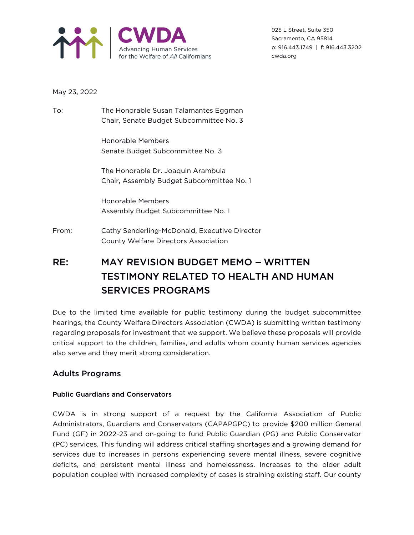

925 L Street, Suite 350 Sacramento, CA 95814 p: 916.443.1749 | f: 916.443.3202 cwda.org

May 23, 2022

To: The Honorable Susan Talamantes Eggman Chair, Senate Budget Subcommittee No. 3

> Honorable Members Senate Budget Subcommittee No. 3

The Honorable Dr. Joaquin Arambula Chair, Assembly Budget Subcommittee No. 1

Honorable Members Assembly Budget Subcommittee No. 1

From: Cathy Senderling-McDonald, Executive Director County Welfare Directors Association

# RE: MAY REVISION BUDGET MEMO - WRITTEN TESTIMONY RELATED TO HEALTH AND HUMAN SERVICES PROGRAMS

Due to the limited time available for public testimony during the budget subcommittee hearings, the County Welfare Directors Association (CWDA) is submitting written testimony regarding proposals for investment that we support. We believe these proposals will provide critical support to the children, families, and adults whom county human services agencies also serve and they merit strong consideration.

# Adults Programs

# Public Guardians and Conservators

CWDA is in strong support of a request by the California Association of Public Administrators, Guardians and Conservators (CAPAPGPC) to provide \$200 million General Fund (GF) in 2022-23 and on-going to fund Public Guardian (PG) and Public Conservator (PC) services. This funding will address critical staffing shortages and a growing demand for services due to increases in persons experiencing severe mental illness, severe cognitive deficits, and persistent mental illness and homelessness. Increases to the older adult population coupled with increased complexity of cases is straining existing staff. Our county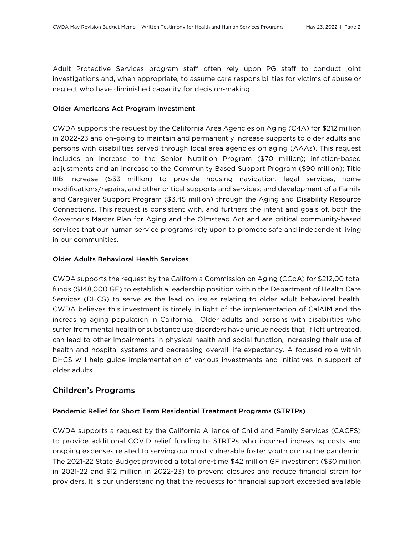Adult Protective Services program staff often rely upon PG staff to conduct joint investigations and, when appropriate, to assume care responsibilities for victims of abuse or neglect who have diminished capacity for decision-making.

#### Older Americans Act Program Investment

CWDA supports the request by the California Area Agencies on Aging (C4A) for \$212 million in 2022-23 and on-going to maintain and permanently increase supports to older adults and persons with disabilities served through local area agencies on aging (AAAs). This request includes an increase to the Senior Nutrition Program (\$70 million); inflation-based adjustments and an increase to the Community Based Support Program (\$90 million); Title IIIB increase (\$33 million) to provide housing navigation, legal services, home modifications/repairs, and other critical supports and services; and development of a Family and Caregiver Support Program (\$3.45 million) through the Aging and Disability Resource Connections. This request is consistent with, and furthers the intent and goals of, both the Governor's Master Plan for Aging and the Olmstead Act and are critical community-based services that our human service programs rely upon to promote safe and independent living in our communities.

#### Older Adults Behavioral Health Services

CWDA supports the request by the California Commission on Aging (CCoA) for \$212,00 total funds (\$148,000 GF) to establish a leadership position within the Department of Health Care Services (DHCS) to serve as the lead on issues relating to older adult behavioral health. CWDA believes this investment is timely in light of the implementation of CalAIM and the increasing aging population in California. Older adults and persons with disabilities who suffer from mental health or substance use disorders have unique needs that, if left untreated, can lead to other impairments in physical health and social function, increasing their use of health and hospital systems and decreasing overall life expectancy. A focused role within DHCS will help guide implementation of various investments and initiatives in support of older adults.

### Children's Programs

### Pandemic Relief for Short Term Residential Treatment Programs (STRTPs)

CWDA supports a request by the California Alliance of Child and Family Services (CACFS) to provide additional COVID relief funding to STRTPs who incurred increasing costs and ongoing expenses related to serving our most vulnerable foster youth during the pandemic. The 2021-22 State Budget provided a total one-time \$42 million GF investment (\$30 million in 2021-22 and \$12 million in 2022-23) to prevent closures and reduce financial strain for providers. It is our understanding that the requests for financial support exceeded available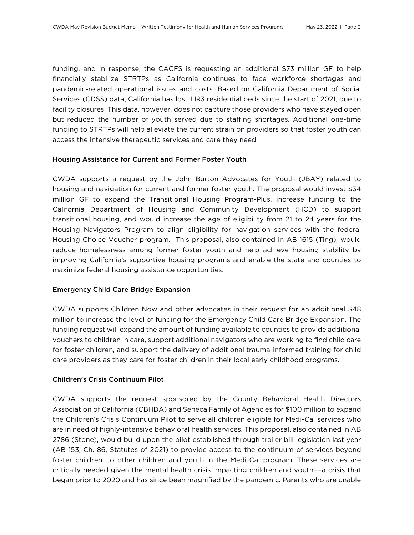funding, and in response, the CACFS is requesting an additional \$73 million GF to help financially stabilize STRTPs as California continues to face workforce shortages and pandemic-related operational issues and costs. Based on California Department of Social Services (CDSS) data, California has lost 1,193 residential beds since the start of 2021, due to facility closures. This data, however, does not capture those providers who have stayed open but reduced the number of youth served due to staffing shortages. Additional one-time funding to STRTPs will help alleviate the current strain on providers so that foster youth can access the intensive therapeutic services and care they need.

#### Housing Assistance for Current and Former Foster Youth

CWDA supports a request by the John Burton Advocates for Youth (JBAY) related to housing and navigation for current and former foster youth. The proposal would invest \$34 million GF to expand the Transitional Housing Program-Plus, increase funding to the California Department of Housing and Community Development (HCD) to support transitional housing, and would increase the age of eligibility from 21 to 24 years for the Housing Navigators Program to align eligibility for navigation services with the federal Housing Choice Voucher program. This proposal, also contained in AB 1615 (Ting), would reduce homelessness among former foster youth and help achieve housing stability by improving California's supportive housing programs and enable the state and counties to maximize federal housing assistance opportunities.

#### Emergency Child Care Bridge Expansion

CWDA supports Children Now and other advocates in their request for an additional \$48 million to increase the level of funding for the Emergency Child Care Bridge Expansion. The funding request will expand the amount of funding available to counties to provide additional vouchers to children in care, support additional navigators who are working to find child care for foster children, and support the delivery of additional trauma-informed training for child care providers as they care for foster children in their local early childhood programs.

#### Children's Crisis Continuum Pilot

CWDA supports the request sponsored by the County Behavioral Health Directors Association of California (CBHDA) and Seneca Family of Agencies for \$100 million to expand the Children's Crisis Continuum Pilot to serve all children eligible for Medi-Cal services who are in need of highly-intensive behavioral health services. This proposal, also contained in AB 2786 (Stone), would build upon the pilot established through trailer bill legislation last year (AB 153, Ch. 86, Statutes of 2021) to provide access to the continuum of services beyond foster children, to other children and youth in the Medi-Cal program. These services are critically needed given the mental health crisis impacting children and youth-a crisis that began prior to 2020 and has since been magnified by the pandemic. Parents who are unable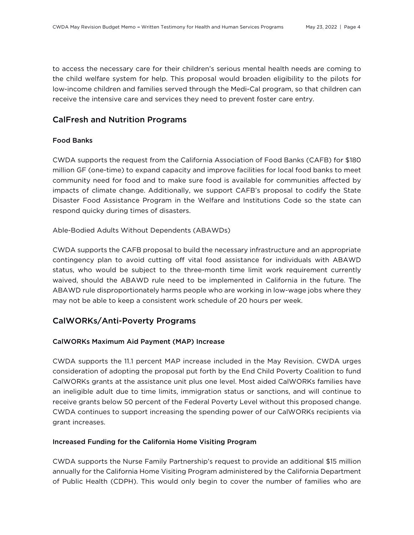to access the necessary care for their children's serious mental health needs are coming to the child welfare system for help. This proposal would broaden eligibility to the pilots for low-income children and families served through the Medi-Cal program, so that children can receive the intensive care and services they need to prevent foster care entry.

# CalFresh and Nutrition Programs

### Food Banks

CWDA supports the request from the California Association of Food Banks (CAFB) for \$180 million GF (one-time) to expand capacity and improve facilities for local food banks to meet community need for food and to make sure food is available for communities affected by impacts of climate change. Additionally, we support CAFB's proposal to codify the State Disaster Food Assistance Program in the Welfare and Institutions Code so the state can respond quicky during times of disasters.

Able-Bodied Adults Without Dependents (ABAWDs)

CWDA supports the CAFB proposal to build the necessary infrastructure and an appropriate contingency plan to avoid cutting off vital food assistance for individuals with ABAWD status, who would be subject to the three-month time limit work requirement currently waived, should the ABAWD rule need to be implemented in California in the future. The ABAWD rule disproportionately harms people who are working in low-wage jobs where they may not be able to keep a consistent work schedule of 20 hours per week.

# CalWORKs/Anti-Poverty Programs

### CalWORKs Maximum Aid Payment (MAP) Increase

CWDA supports the 11.1 percent MAP increase included in the May Revision. CWDA urges consideration of adopting the proposal put forth by the End Child Poverty Coalition to fund CalWORKs grants at the assistance unit plus one level. Most aided CalWORKs families have an ineligible adult due to time limits, immigration status or sanctions, and will continue to receive grants below 50 percent of the Federal Poverty Level without this proposed change. CWDA continues to support increasing the spending power of our CalWORKs recipients via grant increases.

### Increased Funding for the California Home Visiting Program

CWDA supports the Nurse Family Partnership's request to provide an additional \$15 million annually for the California Home Visiting Program administered by the California Department of Public Health (CDPH). This would only begin to cover the number of families who are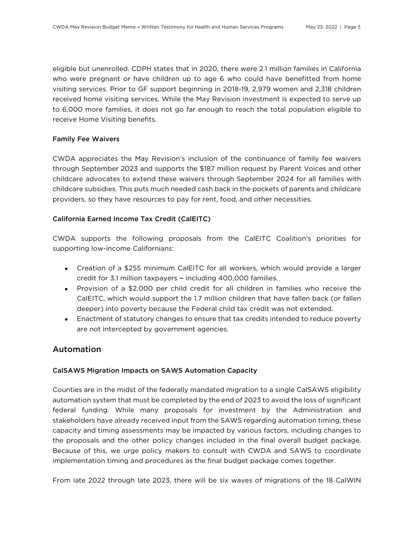eligible but unenrolled. CDPH states that in 2020, there were 2.1 million families in California who were pregnant or have children up to age 6 who could have benefitted from home visiting services. Prior to GF support beginning in 2018-19, 2,979 women and 2,318 children received home visiting services. While the May Revision investment is expected to serve up to 6,000 more families, it does not go far enough to reach the total population eligible to receive Home Visiting benefits.

### Family Fee Waivers

CWDA appreciates the May Revision's inclusion of the continuance of family fee waivers through September 2023 and supports the \$187 million request by Parent Voices and other childcare advocates to extend these waivers through September 2024 for all families with childcare subsidies. This puts much needed cash back in the pockets of parents and childcare providers, so they have resources to pay for rent, food, and other necessities.

### California Earned Income Tax Credit (CalEITC)

CWDA supports the following proposals from the CalEITC Coalition's priorities for supporting low-income Californians:

- Creation of a \$255 minimum CalEITC for all workers, which would provide a larger credit for 3.1 million taxpayers - including 400,000 families.
- Provision of a \$2,000 per child credit for all children in families who receive the CalEITC, which would support the 1.7 million children that have fallen back (or fallen deeper) into poverty because the Federal child tax credit was not extended.
- Enactment of statutory changes to ensure that tax credits intended to reduce poverty are not intercepted by government agencies.

# Automation

### CalSAWS Migration Impacts on SAWS Automation Capacity

Counties are in the midst of the federally mandated migration to a single CalSAWS eligibility automation system that must be completed by the end of 2023 to avoid the loss of significant federal funding. While many proposals for investment by the Administration and stakeholders have already received input from the SAWS regarding automation timing, these capacity and timing assessments may be impacted by various factors, including changes to the proposals and the other policy changes included in the final overall budget package. Because of this, we urge policy makers to consult with CWDA and SAWS to coordinate implementation timing and procedures as the final budget package comes together.

From late 2022 through late 2023, there will be six waves of migrations of the 18 CalWIN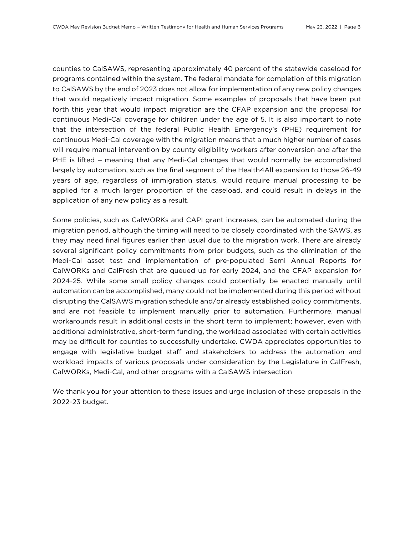counties to CalSAWS, representing approximately 40 percent of the statewide caseload for programs contained within the system. The federal mandate for completion of this migration to CalSAWS by the end of 2023 does not allow for implementation of any new policy changes that would negatively impact migration. Some examples of proposals that have been put forth this year that would impact migration are the CFAP expansion and the proposal for continuous Medi-Cal coverage for children under the age of 5. It is also important to note that the intersection of the federal Public Health Emergency's (PHE) requirement for continuous Medi-Cal coverage with the migration means that a much higher number of cases will require manual intervention by county eligibility workers after conversion and after the PHE is lifted - meaning that any Medi-Cal changes that would normally be accomplished largely by automation, such as the final segment of the Health4All expansion to those 26-49 years of age, regardless of immigration status, would require manual processing to be applied for a much larger proportion of the caseload, and could result in delays in the application of any new policy as a result.

Some policies, such as CalWORKs and CAPI grant increases, can be automated during the migration period, although the timing will need to be closely coordinated with the SAWS, as they may need final figures earlier than usual due to the migration work. There are already several significant policy commitments from prior budgets, such as the elimination of the Medi-Cal asset test and implementation of pre-populated Semi Annual Reports for CalWORKs and CalFresh that are queued up for early 2024, and the CFAP expansion for 2024-25. While some small policy changes could potentially be enacted manually until automation can be accomplished, many could not be implemented during this period without disrupting the CalSAWS migration schedule and/or already established policy commitments, and are not feasible to implement manually prior to automation. Furthermore, manual workarounds result in additional costs in the short term to implement; however, even with additional administrative, short-term funding, the workload associated with certain activities may be difficult for counties to successfully undertake. CWDA appreciates opportunities to engage with legislative budget staff and stakeholders to address the automation and workload impacts of various proposals under consideration by the Legislature in CalFresh, CalWORKs, Medi-Cal, and other programs with a CalSAWS intersection

We thank you for your attention to these issues and urge inclusion of these proposals in the 2022-23 budget.